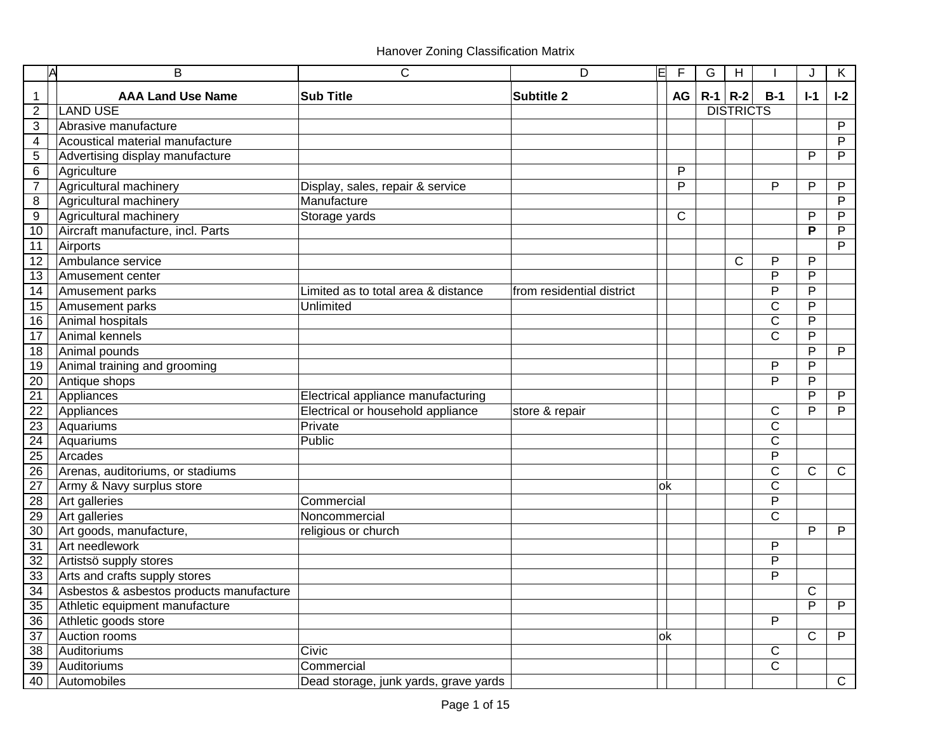| И               | B                                        | $\mathsf C$                           | D                         | ΙEΙ | F              | G           | $\overline{H}$   |                       | J                       | K            |
|-----------------|------------------------------------------|---------------------------------------|---------------------------|-----|----------------|-------------|------------------|-----------------------|-------------------------|--------------|
| $\mathbf 1$     | <b>AAA Land Use Name</b>                 | <b>Sub Title</b>                      | <b>Subtitle 2</b>         |     | AG             | $R-1$ $R-2$ |                  | $B-1$                 | $I-1$                   | $I-2$        |
| $\overline{2}$  | <b>LAND USE</b>                          |                                       |                           |     |                |             | <b>DISTRICTS</b> |                       |                         |              |
| 3               | Abrasive manufacture                     |                                       |                           |     |                |             |                  |                       |                         | P            |
| $\overline{4}$  | Acoustical material manufacture          |                                       |                           |     |                |             |                  |                       |                         | P            |
| $\sqrt{5}$      | Advertising display manufacture          |                                       |                           |     |                |             |                  |                       | P                       | P            |
| $\,6$           | Agriculture                              |                                       |                           |     | P              |             |                  |                       |                         |              |
| $\overline{7}$  | Agricultural machinery                   | Display, sales, repair & service      |                           |     | $\overline{P}$ |             |                  | P                     | P                       | P            |
| 8               | Agricultural machinery                   | Manufacture                           |                           |     |                |             |                  |                       |                         | P            |
| 9               | Agricultural machinery                   | Storage yards                         |                           |     | C              |             |                  |                       | P                       | P            |
| 10              | Aircraft manufacture, incl. Parts        |                                       |                           |     |                |             |                  |                       | P                       | P            |
| 11              | Airports                                 |                                       |                           |     |                |             |                  |                       |                         | P            |
| $\overline{12}$ | Ambulance service                        |                                       |                           |     |                |             | $\mathsf{C}$     | P                     | P                       |              |
| $\overline{13}$ | Amusement center                         |                                       |                           |     |                |             |                  | P                     | P                       |              |
| $\overline{14}$ | Amusement parks                          | Limited as to total area & distance   | from residential district |     |                |             |                  | $\overline{P}$        | $\overline{\mathsf{P}}$ |              |
| 15              | Amusement parks                          | Unlimited                             |                           |     |                |             |                  | C                     | P                       |              |
| 16              | Animal hospitals                         |                                       |                           |     |                |             |                  | C                     | P                       |              |
| $\overline{17}$ | Animal kennels                           |                                       |                           |     |                |             |                  | C                     | P                       |              |
| 18              | Animal pounds                            |                                       |                           |     |                |             |                  |                       | $\overline{\mathsf{P}}$ | $\mathsf{P}$ |
| $\overline{19}$ | Animal training and grooming             |                                       |                           |     |                |             |                  | P                     | P                       |              |
| $\overline{20}$ | Antique shops                            |                                       |                           |     |                |             |                  | P                     | P                       |              |
| $\overline{21}$ | Appliances                               | Electrical appliance manufacturing    |                           |     |                |             |                  |                       | $\overline{\mathsf{P}}$ | P            |
| $\overline{22}$ | Appliances                               | Electrical or household appliance     | store & repair            |     |                |             |                  | C                     | P                       | P            |
| 23              | Aquariums                                | Private                               |                           |     |                |             |                  | С                     |                         |              |
| $\overline{24}$ | Aquariums                                | Public                                |                           |     |                |             |                  | C                     |                         |              |
| 25              | Arcades                                  |                                       |                           |     |                |             |                  | P                     |                         |              |
| $\overline{26}$ | Arenas, auditoriums, or stadiums         |                                       |                           |     |                |             |                  | $\mathsf C$           | $\mathsf{C}$            | $\mathsf{C}$ |
| $\overline{27}$ | Army & Navy surplus store                |                                       |                           | lok |                |             |                  | $\mathsf{C}$          |                         |              |
| $\overline{28}$ | Art galleries                            | Commercial                            |                           |     |                |             |                  | P                     |                         |              |
| 29              | Art galleries                            | Noncommercial                         |                           |     |                |             |                  | $\mathsf C$           |                         |              |
| $\overline{30}$ | Art goods, manufacture,                  | religious or church                   |                           |     |                |             |                  |                       | P                       | P            |
| $\overline{31}$ | Art needlework                           |                                       |                           |     |                |             |                  | P                     |                         |              |
| 32              | Artistsö supply stores                   |                                       |                           |     |                |             |                  | $\overline{P}$        |                         |              |
| 33              | Arts and crafts supply stores            |                                       |                           |     |                |             |                  | P                     |                         |              |
| 34              | Asbestos & asbestos products manufacture |                                       |                           |     |                |             |                  |                       | C                       |              |
| 35              | Athletic equipment manufacture           |                                       |                           |     |                |             |                  |                       | P                       | P            |
| 36              | Athletic goods store                     |                                       |                           |     |                |             |                  | P                     |                         |              |
| $\overline{37}$ | Auction rooms                            |                                       |                           | ok  |                |             |                  |                       | C                       | P            |
| $\overline{38}$ | Auditoriums                              | Civic                                 |                           |     |                |             |                  | С                     |                         |              |
| $\overline{39}$ | Auditoriums                              | Commercial                            |                           |     |                |             |                  | $\overline{\text{C}}$ |                         |              |
| 40              | Automobiles                              | Dead storage, junk yards, grave yards |                           |     |                |             |                  |                       |                         | $\mathsf{C}$ |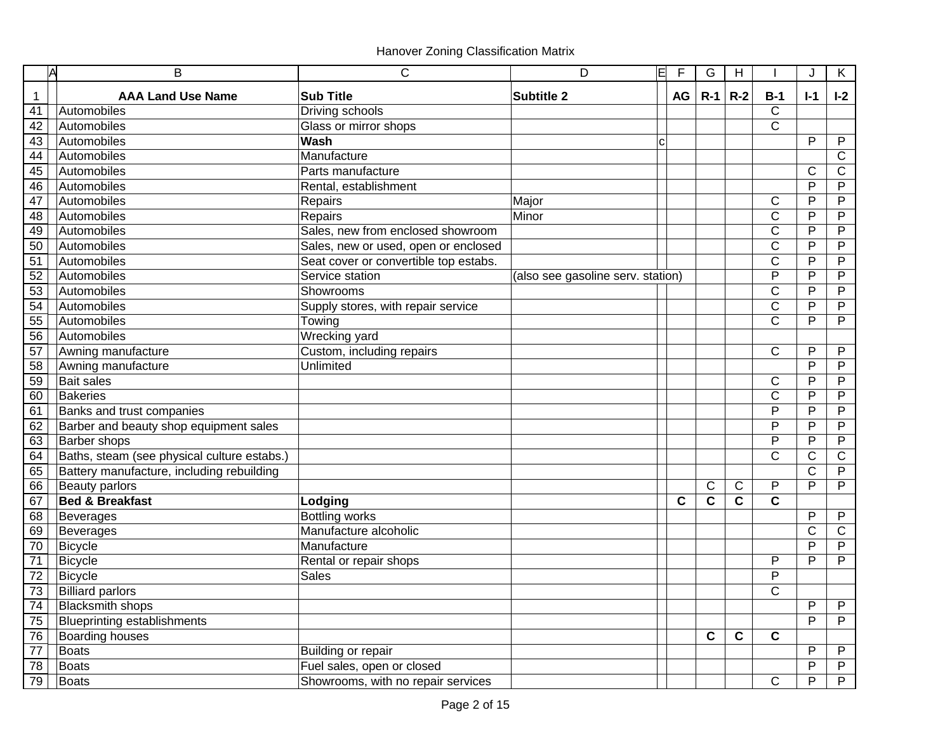| W               | B                                           | $\mathsf{C}$                          | D                                 | 旧           | F  | G     | H     |                       | J                     | K              |
|-----------------|---------------------------------------------|---------------------------------------|-----------------------------------|-------------|----|-------|-------|-----------------------|-----------------------|----------------|
| 1               | <b>AAA Land Use Name</b>                    | <b>Sub Title</b>                      | <b>Subtitle 2</b>                 |             | AG | $R-1$ | $R-2$ | $B-1$                 | $I-1$                 | $I-2$          |
| 41              | Automobiles                                 | Driving schools                       |                                   |             |    |       |       | $\mathsf{C}$          |                       |                |
| 42              | Automobiles                                 | Glass or mirror shops                 |                                   |             |    |       |       | C                     |                       |                |
| 43              | Automobiles                                 | Wash                                  |                                   | $\mathbf C$ |    |       |       |                       | P                     | P              |
| 44              | Automobiles                                 | Manufacture                           |                                   |             |    |       |       |                       |                       | C              |
| 45              | Automobiles                                 | Parts manufacture                     |                                   |             |    |       |       |                       | $\mathsf{C}$          | C              |
| 46              | Automobiles                                 | Rental, establishment                 |                                   |             |    |       |       |                       | P                     | P              |
| 47              | Automobiles                                 | Repairs                               | Major                             |             |    |       |       | С                     | P                     | P              |
| 48              | Automobiles                                 | Repairs                               | Minor                             |             |    |       |       | C                     | P                     | P              |
| 49              | Automobiles                                 | Sales, new from enclosed showroom     |                                   |             |    |       |       | C                     | P                     | P              |
| 50              | Automobiles                                 | Sales, new or used, open or enclosed  |                                   |             |    |       |       | C                     | P                     | P              |
| 51              | Automobiles                                 | Seat cover or convertible top estabs. |                                   |             |    |       |       | $\overline{C}$        | P                     | P              |
| 52              | Automobiles                                 | Service station                       | (also see gasoline serv. station) |             |    |       |       | P                     | P                     | P              |
| 53              | Automobiles                                 | Showrooms                             |                                   |             |    |       |       | $\overline{\text{c}}$ | $\overline{P}$        | $\overline{P}$ |
| $\overline{54}$ | Automobiles                                 | Supply stores, with repair service    |                                   |             |    |       |       | C                     | P                     | P              |
| 55              | Automobiles                                 | Towing                                |                                   |             |    |       |       | Ć                     | P                     | P              |
| 56              | Automobiles                                 | Wrecking yard                         |                                   |             |    |       |       |                       |                       |                |
| 57              | Awning manufacture                          | Custom, including repairs             |                                   |             |    |       |       | C                     | P                     | P              |
| 58              | Awning manufacture                          | Unlimited                             |                                   |             |    |       |       |                       | P                     | $\mathsf{P}$   |
| 59              | <b>Bait sales</b>                           |                                       |                                   |             |    |       |       | C                     | P                     | P              |
| 60              | <b>Bakeries</b>                             |                                       |                                   |             |    |       |       | $\overline{\text{c}}$ | $\overline{P}$        | P              |
| 61              | Banks and trust companies                   |                                       |                                   |             |    |       |       | P                     | P                     | P              |
| 62              | Barber and beauty shop equipment sales      |                                       |                                   |             |    |       |       | P                     | P                     | P              |
| 63              | <b>Barber</b> shops                         |                                       |                                   |             |    |       |       | P                     | P                     | P              |
| 64              | Baths, steam (see physical culture estabs.) |                                       |                                   |             |    |       |       | Ċ                     | C                     | C              |
| 65              | Battery manufacture, including rebuilding   |                                       |                                   |             |    |       |       |                       | $\overline{\text{c}}$ | P              |
| 66              | <b>Beauty parlors</b>                       |                                       |                                   |             |    | C     | C     | P                     | P                     | P              |
| 67              | <b>Bed &amp; Breakfast</b>                  | Lodging                               |                                   |             | C  | C     | C     | C                     |                       |                |
| 68              | <b>Beverages</b>                            | <b>Bottling works</b>                 |                                   |             |    |       |       |                       | P                     | P              |
| 69              | <b>Beverages</b>                            | Manufacture alcoholic                 |                                   |             |    |       |       |                       | $\mathsf C$           | C              |
| 70              | <b>Bicycle</b>                              | Manufacture                           |                                   |             |    |       |       |                       | P                     | P              |
| $\overline{71}$ | <b>Bicycle</b>                              | Rental or repair shops                |                                   |             |    |       |       | P                     | P                     | P              |
| $\overline{72}$ | <b>Bicycle</b>                              | Sales                                 |                                   |             |    |       |       | P                     |                       |                |
| $\overline{73}$ | <b>Billiard parlors</b>                     |                                       |                                   |             |    |       |       | С                     |                       |                |
| $\overline{74}$ | <b>Blacksmith shops</b>                     |                                       |                                   |             |    |       |       |                       | P                     | P              |
| 75              | <b>Blueprinting establishments</b>          |                                       |                                   |             |    |       |       |                       | $\overline{P}$        | P              |
| $\overline{76}$ | <b>Boarding houses</b>                      |                                       |                                   |             |    | C     | C     | C                     |                       |                |
| $\overline{77}$ | <b>Boats</b>                                | Building or repair                    |                                   |             |    |       |       |                       | P                     | P              |
| 78              | <b>Boats</b>                                | Fuel sales, open or closed            |                                   |             |    |       |       |                       | P                     | P              |
| 79              | Boats                                       | Showrooms, with no repair services    |                                   |             |    |       |       | $\mathsf C$           | P                     | P              |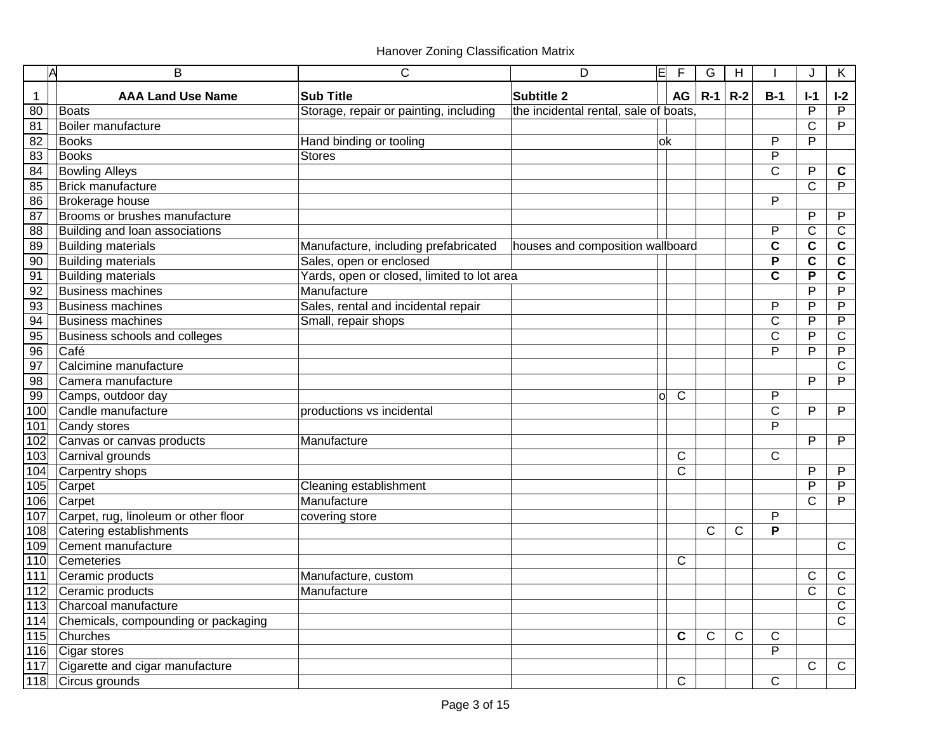| Α               | B                                    | C                                          | D                                     | E<br>F                       | G            | $\mathsf H$ |              | J              | K              |
|-----------------|--------------------------------------|--------------------------------------------|---------------------------------------|------------------------------|--------------|-------------|--------------|----------------|----------------|
| -1              | <b>AAA Land Use Name</b>             | <b>Sub Title</b>                           | <b>Subtitle 2</b>                     | AG                           | $R-1$        | $R-2$       | $B-1$        | $I-1$          | $I-2$          |
| 80              | <b>Boats</b>                         | Storage, repair or painting, including     | the incidental rental, sale of boats, |                              |              |             |              | $\mathsf{P}$   | P              |
| 81              | Boiler manufacture                   |                                            |                                       |                              |              |             |              | C              | P              |
| 82              | <b>Books</b>                         | Hand binding or tooling                    |                                       | lok                          |              |             | P            | P              |                |
| $\overline{83}$ | <b>Books</b>                         | <b>Stores</b>                              |                                       |                              |              |             | P            |                |                |
| 84              | <b>Bowling Alleys</b>                |                                            |                                       |                              |              |             | $\mathsf{C}$ | P              | C              |
| 85              | <b>Brick manufacture</b>             |                                            |                                       |                              |              |             |              | $\overline{C}$ | P              |
| 86              | Brokerage house                      |                                            |                                       |                              |              |             | P            |                |                |
| $\overline{87}$ | Brooms or brushes manufacture        |                                            |                                       |                              |              |             |              | P              | P              |
| 88              | Building and loan associations       |                                            |                                       |                              |              |             | P            | C              | $\mathsf{C}$   |
| 89              | <b>Building materials</b>            | Manufacture, including prefabricated       | houses and composition wallboard      |                              |              |             | $\mathbf c$  | $\mathbf c$    | C              |
| $\overline{90}$ | <b>Building materials</b>            | Sales, open or enclosed                    |                                       |                              |              |             | P            | $\mathbf c$    | $\mathbf c$    |
| 91              | <b>Building materials</b>            | Yards, open or closed, limited to lot area |                                       |                              |              |             | C            | P              | C              |
| $\overline{92}$ | <b>Business machines</b>             | Manufacture                                |                                       |                              |              |             |              | P              | $\overline{P}$ |
| 93              | <b>Business machines</b>             | Sales, rental and incidental repair        |                                       |                              |              |             | P            | P              | P              |
| 94              | <b>Business machines</b>             | Small, repair shops                        |                                       |                              |              |             | C            | P              | P              |
| 95              | Business schools and colleges        |                                            |                                       |                              |              |             | $\mathsf C$  | P              | C              |
| 96              | Café                                 |                                            |                                       |                              |              |             | P            | P              | $\mathsf{P}$   |
| 97              | Calcimine manufacture                |                                            |                                       |                              |              |             |              |                | $\mathsf{C}$   |
| $\overline{98}$ | Camera manufacture                   |                                            |                                       |                              |              |             |              | P              | P              |
| 99              | Camps, outdoor day                   |                                            |                                       | $\mathsf{C}$<br>$\mathsf{o}$ |              |             | P            |                |                |
| 100             | Candle manufacture                   | productions vs incidental                  |                                       |                              |              |             | $\mathsf C$  | P              | $\mathsf{P}$   |
| 101             | Candy stores                         |                                            |                                       |                              |              |             | P            |                |                |
| 102             | Canvas or canvas products            | Manufacture                                |                                       |                              |              |             |              | P              | P              |
| 103             | Carnival grounds                     |                                            |                                       | C                            |              |             | C            |                |                |
| 104             | Carpentry shops                      |                                            |                                       | $\mathsf{C}$                 |              |             |              | P              | P              |
| 105             | Carpet                               | Cleaning establishment                     |                                       |                              |              |             |              | P              | P              |
| 106             | Carpet                               | Manufacture                                |                                       |                              |              |             |              | C              | P              |
| 107             | Carpet, rug, linoleum or other floor | covering store                             |                                       |                              |              |             | P            |                |                |
| 108             | Catering establishments              |                                            |                                       |                              | C            | $\mathsf C$ | P            |                |                |
| 109             | Cement manufacture                   |                                            |                                       |                              |              |             |              |                | C              |
| 110             | Cemeteries                           |                                            |                                       | C                            |              |             |              |                |                |
| 111             | Ceramic products                     | Manufacture, custom                        |                                       |                              |              |             |              | C              | C              |
| 112             | Ceramic products                     | Manufacture                                |                                       |                              |              |             |              | C              | $\mathsf C$    |
| 113             | Charcoal manufacture                 |                                            |                                       |                              |              |             |              |                | C              |
| 114             | Chemicals, compounding or packaging  |                                            |                                       |                              |              |             |              |                | $\mathsf{C}$   |
| 115             | Churches                             |                                            |                                       | C                            | $\mathsf{C}$ | $\mathsf C$ | C            |                |                |
| 116             | Cigar stores                         |                                            |                                       |                              |              |             | P            |                |                |
| 117             | Cigarette and cigar manufacture      |                                            |                                       |                              |              |             |              | C              | $\mathsf{C}$   |
| 118             | Circus grounds                       |                                            |                                       | C                            |              |             | $\mathsf C$  |                |                |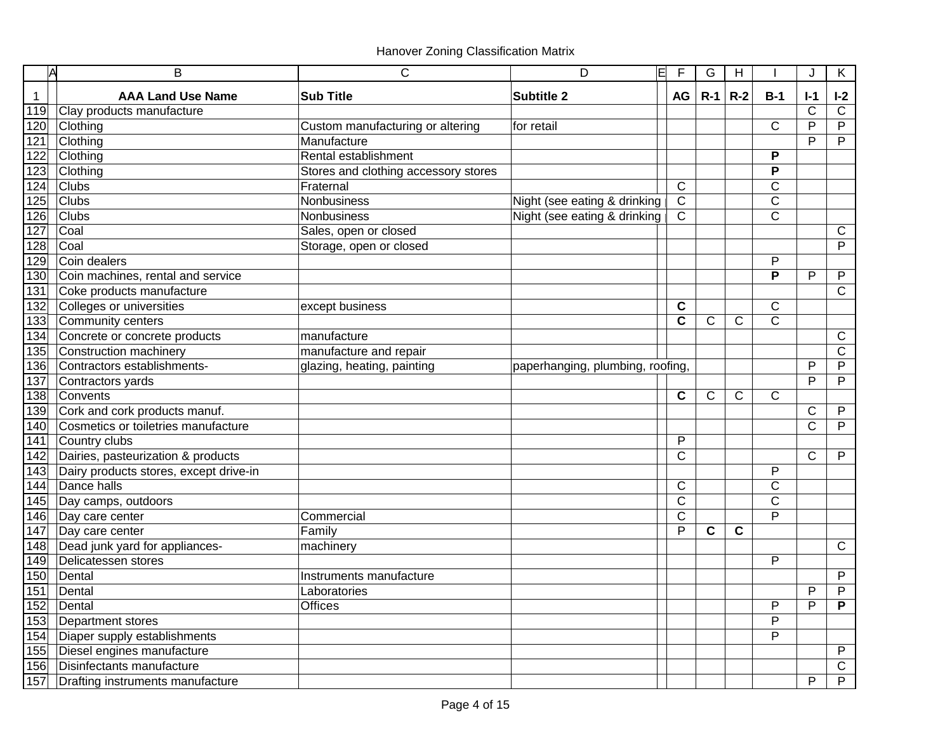| Α                | B                                      | C                                    | E<br>D                           | F            | G            | H           |              | J            | Κ            |
|------------------|----------------------------------------|--------------------------------------|----------------------------------|--------------|--------------|-------------|--------------|--------------|--------------|
| -1               | <b>AAA Land Use Name</b>               | <b>Sub Title</b>                     | <b>Subtitle 2</b>                | AG           | $R-1$        | $R-2$       | $B-1$        | $I-1$        | $I-2$        |
| 119              | Clay products manufacture              |                                      |                                  |              |              |             |              | $\mathsf{C}$ | $\mathsf{C}$ |
| 120              | Clothing                               | Custom manufacturing or altering     | for retail                       |              |              |             | C            | P            | $\mathsf{P}$ |
| 121              | Clothing                               | Manufacture                          |                                  |              |              |             |              | P            | P            |
| 122              | Clothing                               | Rental establishment                 |                                  |              |              |             | P            |              |              |
| 123              | Clothing                               | Stores and clothing accessory stores |                                  |              |              |             | P            |              |              |
| 124              | <b>Clubs</b>                           | Fraternal                            |                                  | $\mathsf{C}$ |              |             | C            |              |              |
| 125              | Clubs                                  | Nonbusiness                          | Night (see eating & drinking     | $\mathsf C$  |              |             | C            |              |              |
| 126              | Clubs                                  | Nonbusiness                          | Night (see eating & drinking     | $\mathsf{C}$ |              |             | C            |              |              |
| 127              | Coal                                   | Sales, open or closed                |                                  |              |              |             |              |              | С            |
| 128              | Coal                                   | Storage, open or closed              |                                  |              |              |             |              |              | P            |
| 129              | Coin dealers                           |                                      |                                  |              |              |             | P            |              |              |
| 130              | Coin machines, rental and service      |                                      |                                  |              |              |             | P            | P            | P            |
| 131              | Coke products manufacture              |                                      |                                  |              |              |             |              |              | C            |
| 132              | Colleges or universities               | except business                      |                                  | C            |              |             | C            |              |              |
| 133              | Community centers                      |                                      |                                  | $\mathbf c$  | $\mathsf{C}$ | C           | C            |              |              |
| 134              | Concrete or concrete products          | manufacture                          |                                  |              |              |             |              |              | C            |
| 135              | Construction machinery                 | manufacture and repair               |                                  |              |              |             |              |              | C            |
| 136              | Contractors establishments-            | glazing, heating, painting           | paperhanging, plumbing, roofing, |              |              |             |              | P            | P            |
| 137              | Contractors yards                      |                                      |                                  |              |              |             |              | P            | P            |
| 138              | Convents                               |                                      |                                  | C            | $\mathsf C$  | C           | $\mathsf C$  |              |              |
| 139              | Cork and cork products manuf.          |                                      |                                  |              |              |             |              | $\mathsf{C}$ | P            |
| 140              | Cosmetics or toiletries manufacture    |                                      |                                  |              |              |             |              | C            | P            |
| $\overline{141}$ | Country clubs                          |                                      |                                  | $\mathsf{P}$ |              |             |              |              |              |
| 142              | Dairies, pasteurization & products     |                                      |                                  | $\mathsf{C}$ |              |             |              | $\mathsf{C}$ | $\mathsf{P}$ |
| 143              | Dairy products stores, except drive-in |                                      |                                  |              |              |             | P            |              |              |
| $\overline{144}$ | Dance halls                            |                                      |                                  | $\mathsf{C}$ |              |             | C            |              |              |
| 145              | Day camps, outdoors                    |                                      |                                  | $\mathsf C$  |              |             | C            |              |              |
| 146              | Day care center                        | Commercial                           |                                  | $\mathsf C$  |              |             | P            |              |              |
| 147              | Day care center                        | Family                               |                                  | P            | C            | $\mathbf C$ |              |              |              |
| 148              | Dead junk yard for appliances-         | machinery                            |                                  |              |              |             |              |              | C            |
| 149              | Delicatessen stores                    |                                      |                                  |              |              |             | $\mathsf{P}$ |              |              |
| 150              | Dental                                 | Instruments manufacture              |                                  |              |              |             |              |              | P            |
| 151              | Dental                                 | Laboratories                         |                                  |              |              |             |              | P            | P            |
| 152              | Dental                                 | Offices                              |                                  |              |              |             | P            | P            | P            |
| 153              | Department stores                      |                                      |                                  |              |              |             | P            |              |              |
| 154              | Diaper supply establishments           |                                      |                                  |              |              |             | P            |              |              |
| 155              | Diesel engines manufacture             |                                      |                                  |              |              |             |              |              | $\mathsf{P}$ |
| 156              | Disinfectants manufacture              |                                      |                                  |              |              |             |              |              | C            |
| 157              | Drafting instruments manufacture       |                                      |                                  |              |              |             |              | P            | P            |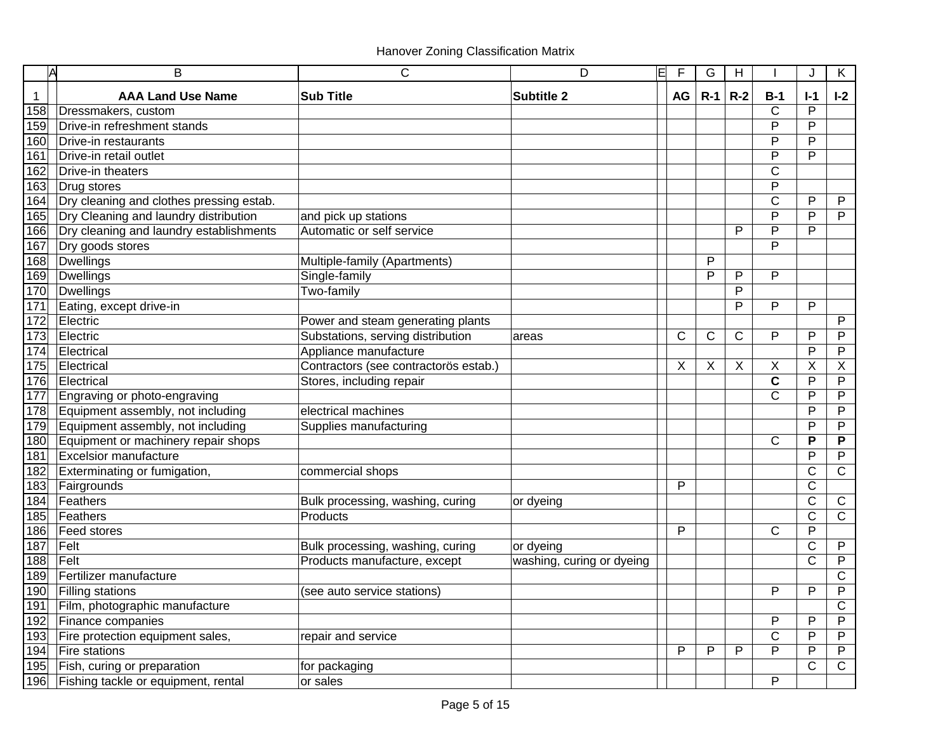| A            | B                                        | C                                     | D                         | 旧<br>F       | G     | H              |                | J              | Κ            |
|--------------|------------------------------------------|---------------------------------------|---------------------------|--------------|-------|----------------|----------------|----------------|--------------|
| $\mathbf{1}$ | <b>AAA Land Use Name</b>                 | <b>Sub Title</b>                      | <b>Subtitle 2</b>         | AG           | $R-1$ | $R-2$          | $B-1$          | $I-1$          | $I-2$        |
| 158          | Dressmakers, custom                      |                                       |                           |              |       |                | C              | P              |              |
| 159          | Drive-in refreshment stands              |                                       |                           |              |       |                | P              | P              |              |
| 160          | Drive-in restaurants                     |                                       |                           |              |       |                | P              | P              |              |
| 161          | Drive-in retail outlet                   |                                       |                           |              |       |                | P              | P              |              |
| 162          | Drive-in theaters                        |                                       |                           |              |       |                | C              |                |              |
| 163          | Drug stores                              |                                       |                           |              |       |                | $\overline{P}$ |                |              |
| 164          | Dry cleaning and clothes pressing estab. |                                       |                           |              |       |                | C              | P              | P            |
| 165          | Dry Cleaning and laundry distribution    | and pick up stations                  |                           |              |       |                | P              | $\overline{P}$ | P            |
| 166          | Dry cleaning and laundry establishments  | Automatic or self service             |                           |              |       | P              | P              | P              |              |
| 167          | Dry goods stores                         |                                       |                           |              |       |                | $\overline{P}$ |                |              |
| 168          | Dwellings                                | Multiple-family (Apartments)          |                           |              | P     |                |                |                |              |
| 169          | <b>Dwellings</b>                         | Single-family                         |                           |              | P     | $\mathsf{P}$   | P              |                |              |
| 170          | Dwellings                                | Two-family                            |                           |              |       | $\overline{P}$ |                |                |              |
| 171          | Eating, except drive-in                  |                                       |                           |              |       | P              | P              | P              |              |
| 172          | Electric                                 | Power and steam generating plants     |                           |              |       |                |                |                | P            |
| 173          | Electric                                 | Substations, serving distribution     | areas                     | $\mathsf{C}$ | C     | C              | P              | P              | P            |
| 174          | Electrical                               | Appliance manufacture                 |                           |              |       |                |                | $\overline{P}$ | P            |
| 175          | Electrical                               | Contractors (see contractorös estab.) |                           | X            | X     | X              | Χ              | Χ              | Χ            |
| 176          | Electrical                               | Stores, including repair              |                           |              |       |                | $\mathbf c$    | P              | P            |
| 177          | Engraving or photo-engraving             |                                       |                           |              |       |                | C              | P              | P            |
| 178          | Equipment assembly, not including        | electrical machines                   |                           |              |       |                |                | P              | P            |
| 179          | Equipment assembly, not including        | Supplies manufacturing                |                           |              |       |                |                | P              | P            |
| 180          | Equipment or machinery repair shops      |                                       |                           |              |       |                | C              | P              | P            |
| 181          | <b>Excelsior manufacture</b>             |                                       |                           |              |       |                |                | P              | P            |
| 182          | Exterminating or fumigation,             | commercial shops                      |                           |              |       |                |                | $\mathsf C$    | C            |
| 183          | Fairgrounds                              |                                       |                           | P            |       |                |                | C              |              |
| 184          | Feathers                                 | Bulk processing, washing, curing      | or dyeing                 |              |       |                |                | C              | С            |
| 185          | Feathers                                 | Products                              |                           |              |       |                |                | C              | C            |
| 186          | Feed stores                              |                                       |                           | P            |       |                | C              | $\overline{P}$ |              |
| 187          | Felt                                     | Bulk processing, washing, curing      | or dyeing                 |              |       |                |                | C              | $\mathsf{P}$ |
| 188          | Felt                                     | Products manufacture, except          | washing, curing or dyeing |              |       |                |                | C              | P            |
| 189          | Fertilizer manufacture                   |                                       |                           |              |       |                |                |                | C            |
| 190          | <b>Filling stations</b>                  | (see auto service stations)           |                           |              |       |                | P              | P              | $\mathsf{P}$ |
| 191          | Film, photographic manufacture           |                                       |                           |              |       |                |                |                | C            |
| 192          | Finance companies                        |                                       |                           |              |       |                | P              | P              | P            |
| 193          | Fire protection equipment sales,         | repair and service                    |                           |              |       |                | C              | P              | P            |
| 194          | <b>Fire stations</b>                     |                                       |                           | P            | P     | P              | P              | P              | P            |
| 195          | Fish, curing or preparation              | for packaging                         |                           |              |       |                |                | C              | C            |
| 196          | Fishing tackle or equipment, rental      | or sales                              |                           |              |       |                | P              |                |              |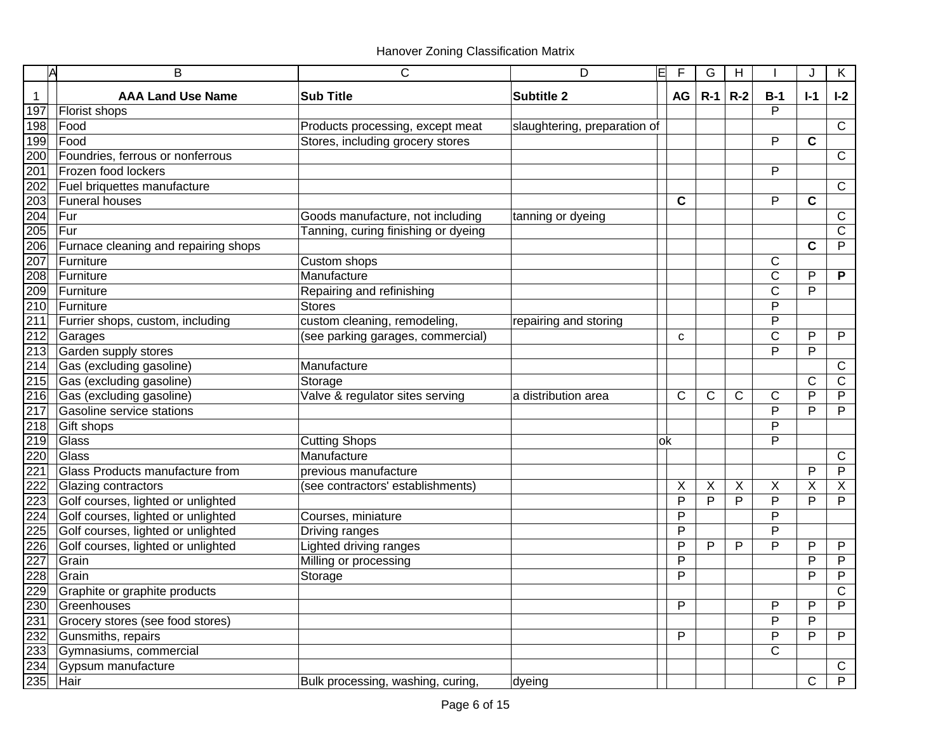| Α                | B                                    | С                                   | D                            | lΕ | F            | G            | H     |                       | J                       | K              |
|------------------|--------------------------------------|-------------------------------------|------------------------------|----|--------------|--------------|-------|-----------------------|-------------------------|----------------|
| -1               | <b>AAA Land Use Name</b>             | <b>Sub Title</b>                    | <b>Subtitle 2</b>            |    | AG           | $R-1$        | $R-2$ | $B-1$                 | $I-1$                   | $I-2$          |
| 197              | Florist shops                        |                                     |                              |    |              |              |       | P                     |                         |                |
| 198              | Food                                 | Products processing, except meat    | slaughtering, preparation of |    |              |              |       |                       |                         | $\mathbf C$    |
| 199              | Food                                 | Stores, including grocery stores    |                              |    |              |              |       | P                     | $\overline{\mathbf{c}}$ |                |
| 200              | Foundries, ferrous or nonferrous     |                                     |                              |    |              |              |       |                       |                         | C              |
| 201              | Frozen food lockers                  |                                     |                              |    |              |              |       | P                     |                         |                |
| 202              | Fuel briquettes manufacture          |                                     |                              |    |              |              |       |                       |                         | $\overline{C}$ |
| 203              | <b>Funeral houses</b>                |                                     |                              |    | C            |              |       | P                     | $\mathbf c$             |                |
| 204              | Fur                                  | Goods manufacture, not including    | tanning or dyeing            |    |              |              |       |                       |                         | $\mathsf{C}$   |
| 205              | Fur                                  | Tanning, curing finishing or dyeing |                              |    |              |              |       |                       |                         | C              |
| 206              | Furnace cleaning and repairing shops |                                     |                              |    |              |              |       |                       | C                       | P              |
| 207              | Furniture                            | Custom shops                        |                              |    |              |              |       | C                     |                         |                |
| 208              | Furniture                            | Manufacture                         |                              |    |              |              |       | C                     | P                       | P              |
| 209              | Furniture                            | Repairing and refinishing           |                              |    |              |              |       | $\overline{\text{C}}$ | $\overline{P}$          |                |
| 210              | Furniture                            | <b>Stores</b>                       |                              |    |              |              |       | P                     |                         |                |
| $\overline{211}$ | Furrier shops, custom, including     | custom cleaning, remodeling,        | repairing and storing        |    |              |              |       | P                     |                         |                |
| $\overline{212}$ | Garages                              | (see parking garages, commercial)   |                              |    | C            |              |       | C                     | P                       | $\mathsf{P}$   |
| $\overline{213}$ | Garden supply stores                 |                                     |                              |    |              |              |       | P                     | $\overline{P}$          |                |
| 214              | Gas (excluding gasoline)             | Manufacture                         |                              |    |              |              |       |                       |                         | С              |
| 215              | Gas (excluding gasoline)             | Storage                             |                              |    |              |              |       |                       | C                       | C              |
| $\overline{216}$ | Gas (excluding gasoline)             | Valve & regulator sites serving     | a distribution area          |    | $\mathsf{C}$ | $\mathsf{C}$ | C     | C                     | $\overline{P}$          | P              |
| 217              | Gasoline service stations            |                                     |                              |    |              |              |       | P                     | P                       | P              |
| 218              | Gift shops                           |                                     |                              |    |              |              |       | P                     |                         |                |
| 219              | Glass                                | <b>Cutting Shops</b>                |                              | ok |              |              |       | P                     |                         |                |
| 220              | Glass                                | Manufacture                         |                              |    |              |              |       |                       |                         | C              |
| 221              | Glass Products manufacture from      | previous manufacture                |                              |    |              |              |       |                       | P                       | P              |
| 222              | Glazing contractors                  | (see contractors' establishments)   |                              |    | X            | $\times$     | X     | Χ                     | X                       | X              |
| 223              | Golf courses, lighted or unlighted   |                                     |                              |    | P            | P            | P     | P                     | P                       | P              |
| 224              | Golf courses, lighted or unlighted   | Courses, miniature                  |                              |    | $\mathsf{P}$ |              |       | P                     |                         |                |
| 225              | Golf courses, lighted or unlighted   | Driving ranges                      |                              |    | P            |              |       | P                     |                         |                |
| 226              | Golf courses, lighted or unlighted   | <b>Lighted driving ranges</b>       |                              |    | P            | P            | P     | P                     | P                       | P              |
| 227              | Grain                                | Milling or processing               |                              |    | P            |              |       |                       | $\overline{P}$          | P              |
| 228              | Grain                                | Storage                             |                              |    | P            |              |       |                       | P                       | P              |
| 229              | Graphite or graphite products        |                                     |                              |    |              |              |       |                       |                         | C              |
| 230              | Greenhouses                          |                                     |                              |    | P            |              |       | P                     | P                       | P              |
| 231              | Grocery stores (see food stores)     |                                     |                              |    |              |              |       | P                     | P                       |                |
| 232              | Gunsmiths, repairs                   |                                     |                              |    | P            |              |       | P                     | P                       | P              |
| 233              | Gymnasiums, commercial               |                                     |                              |    |              |              |       | C                     |                         |                |
| 234              | Gypsum manufacture                   |                                     |                              |    |              |              |       |                       |                         | C              |
| $\overline{235}$ | Hair                                 | Bulk processing, washing, curing,   | dyeing                       |    |              |              |       |                       | C                       | P              |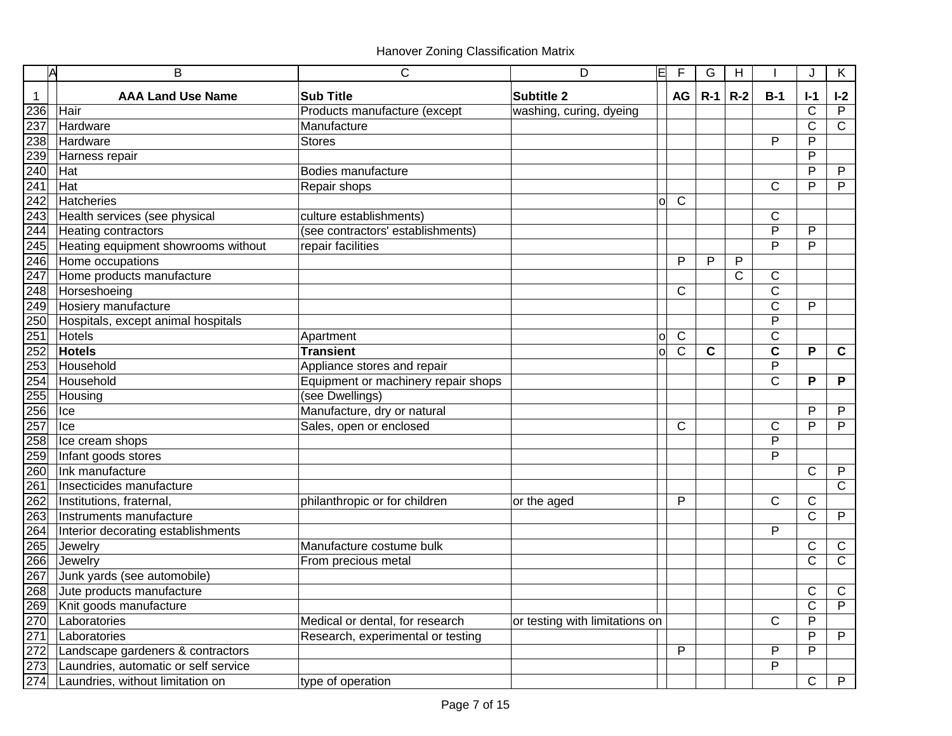| A                                                    | B                                    | C                                   | D                              | 旧            | F                     | G     | H     |                         | J            | K     |
|------------------------------------------------------|--------------------------------------|-------------------------------------|--------------------------------|--------------|-----------------------|-------|-------|-------------------------|--------------|-------|
| $\mathbf{1}$                                         | <b>AAA Land Use Name</b>             | <b>Sub Title</b>                    | <b>Subtitle 2</b>              |              | AG                    | $R-1$ | $R-2$ | $B-1$                   | $I-1$        | $I-2$ |
| 236                                                  | Hair                                 | Products manufacture (except        | washing, curing, dyeing        |              |                       |       |       |                         | $\mathsf C$  | P     |
| 237                                                  | Hardware                             | Manufacture                         |                                |              |                       |       |       |                         | $\mathsf C$  | C     |
| 238                                                  | Hardware                             | <b>Stores</b>                       |                                |              |                       |       |       | P                       | P            |       |
| 239                                                  | Harness repair                       |                                     |                                |              |                       |       |       |                         | P            |       |
| 240                                                  | Hat                                  | <b>Bodies manufacture</b>           |                                |              |                       |       |       |                         | P            | P     |
| $\overline{241}$                                     | Hat                                  | Repair shops                        |                                |              |                       |       |       | $\mathsf{C}$            | P            | P     |
|                                                      | Hatcheries                           |                                     |                                | $\mathsf{o}$ | С                     |       |       |                         |              |       |
|                                                      | Health services (see physical        | culture establishments)             |                                |              |                       |       |       | C                       |              |       |
|                                                      | <b>Heating contractors</b>           | (see contractors' establishments)   |                                |              |                       |       |       | P                       | P            |       |
| 242<br>243<br>244<br>245<br>246<br>247<br>248<br>249 | Heating equipment showrooms without  | repair facilities                   |                                |              |                       |       |       | P                       | P            |       |
|                                                      | Home occupations                     |                                     |                                |              | P                     | P     | P     |                         |              |       |
|                                                      | Home products manufacture            |                                     |                                |              |                       |       | C     | С                       |              |       |
|                                                      | Horseshoeing                         |                                     |                                |              | С                     |       |       | $\overline{\text{C}}$   |              |       |
|                                                      | Hosiery manufacture                  |                                     |                                |              |                       |       |       | C                       | P            |       |
| 250                                                  | Hospitals, except animal hospitals   |                                     |                                |              |                       |       |       | P                       |              |       |
| 251                                                  | Hotels                               | Apartment                           |                                | $\Omega$     | C                     |       |       | C                       |              |       |
| 252                                                  | <b>Hotels</b>                        | <b>Transient</b>                    |                                | $\Omega$     | $\overline{\text{C}}$ | C     |       | С                       | P            | C     |
| 253<br>254                                           | Household                            | Appliance stores and repair         |                                |              |                       |       |       | P                       |              |       |
|                                                      | Household                            | Equipment or machinery repair shops |                                |              |                       |       |       | C                       | P            | P     |
| 255                                                  | Housing                              | (see Dwellings)                     |                                |              |                       |       |       |                         |              |       |
| 256                                                  | Ice                                  | Manufacture, dry or natural         |                                |              |                       |       |       |                         | P            | P     |
| 257                                                  | Ice                                  | Sales, open or enclosed             |                                |              | C                     |       |       | С                       | P            | P     |
|                                                      | Ice cream shops                      |                                     |                                |              |                       |       |       | P                       |              |       |
| 258<br>259                                           | Infant goods stores                  |                                     |                                |              |                       |       |       | P                       |              |       |
| 260                                                  | Ink manufacture                      |                                     |                                |              |                       |       |       |                         | $\mathsf{C}$ | P     |
| 261                                                  | Insecticides manufacture             |                                     |                                |              |                       |       |       |                         |              | C     |
| 262                                                  | Institutions, fraternal,             | philanthropic or for children       | or the aged                    |              | P                     |       |       | C                       | C            |       |
| $\overline{263}$                                     | Instruments manufacture              |                                     |                                |              |                       |       |       |                         | C            | P     |
| 264                                                  | Interior decorating establishments   |                                     |                                |              |                       |       |       | P                       |              |       |
| 265                                                  | Jewelry                              | Manufacture costume bulk            |                                |              |                       |       |       |                         | $\mathsf{C}$ | C     |
| 266                                                  | Jewelry                              | From precious metal                 |                                |              |                       |       |       |                         | $\mathsf{C}$ | C     |
| 267                                                  | Junk yards (see automobile)          |                                     |                                |              |                       |       |       |                         |              |       |
| 268                                                  | Jute products manufacture            |                                     |                                |              |                       |       |       |                         | C            | C     |
| 269                                                  | Knit goods manufacture               |                                     |                                |              |                       |       |       |                         | C            | P     |
| 270                                                  | Laboratories                         | Medical or dental, for research     | or testing with limitations on |              |                       |       |       | C                       | P            |       |
| 271                                                  | Laboratories                         | Research, experimental or testing   |                                |              |                       |       |       |                         | P            | P     |
| 272                                                  | Landscape gardeners & contractors    |                                     |                                |              | P                     |       |       | P                       | P            |       |
| 273                                                  | Laundries, automatic or self service |                                     |                                |              |                       |       |       | $\overline{\mathsf{P}}$ |              |       |
| 274                                                  | Laundries, without limitation on     | type of operation                   |                                |              |                       |       |       |                         | C            | P     |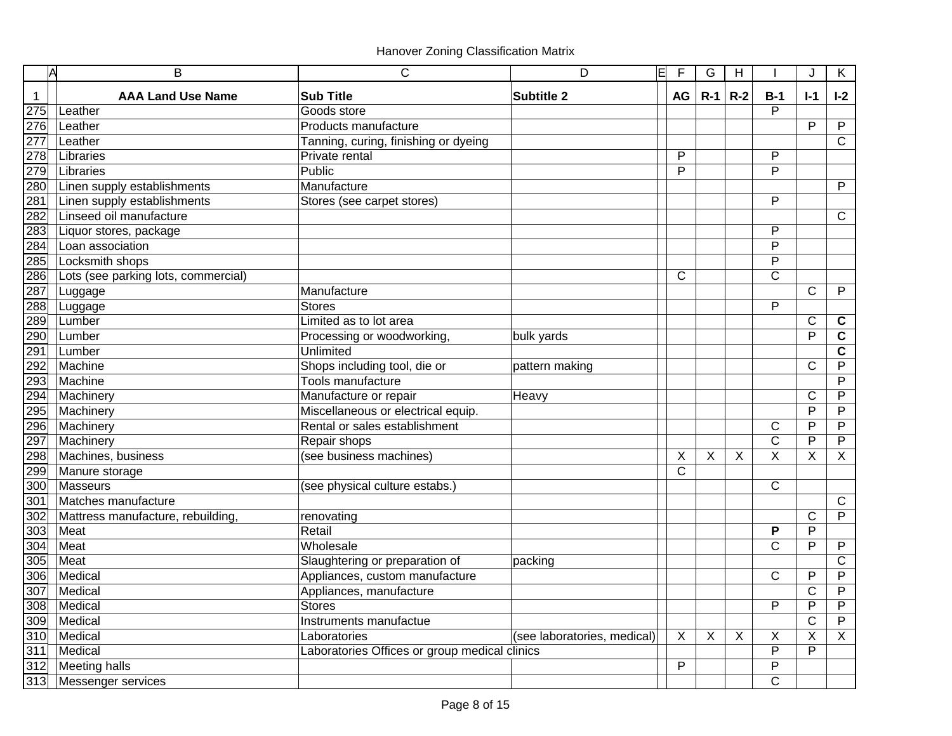|     | A | B                                   | C                                             | D                           | E | F              | G                         | H                         |                         | J            | K              |
|-----|---|-------------------------------------|-----------------------------------------------|-----------------------------|---|----------------|---------------------------|---------------------------|-------------------------|--------------|----------------|
| 1   |   | <b>AAA Land Use Name</b>            | <b>Sub Title</b>                              | <b>Subtitle 2</b>           |   | AG             | $R-1$                     | $R-2$                     | $B-1$                   | $I-1$        | $I-2$          |
| 275 |   | Leather                             | Goods store                                   |                             |   |                |                           |                           | P                       |              |                |
| 276 |   | Leather                             | Products manufacture                          |                             |   |                |                           |                           |                         | P            | P              |
| 277 |   | Leather                             | Tanning, curing, finishing or dyeing          |                             |   |                |                           |                           |                         |              | C              |
| 278 |   | Libraries                           | Private rental                                |                             |   | P              |                           |                           | P                       |              |                |
| 279 |   | Libraries                           | Public                                        |                             |   | $\bar{P}$      |                           |                           | P                       |              |                |
| 280 |   | Linen supply establishments         | Manufacture                                   |                             |   |                |                           |                           |                         |              | P              |
| 281 |   | Linen supply establishments         | Stores (see carpet stores)                    |                             |   |                |                           |                           | P                       |              |                |
| 282 |   | Linseed oil manufacture             |                                               |                             |   |                |                           |                           |                         |              | $\mathsf{C}$   |
| 283 |   | Liquor stores, package              |                                               |                             |   |                |                           |                           | P                       |              |                |
| 284 |   | Loan association                    |                                               |                             |   |                |                           |                           | P                       |              |                |
| 285 |   | Locksmith shops                     |                                               |                             |   |                |                           |                           | P                       |              |                |
| 286 |   | Lots (see parking lots, commercial) |                                               |                             |   | С              |                           |                           | C                       |              |                |
| 287 |   | Luggage                             | Manufacture                                   |                             |   |                |                           |                           |                         | $\mathsf{C}$ | $\overline{P}$ |
| 288 |   | Luggage                             | <b>Stores</b>                                 |                             |   |                |                           |                           | P                       |              |                |
| 289 |   | Lumber                              | Limited as to lot area                        |                             |   |                |                           |                           |                         | C            | $\mathbf c$    |
| 290 |   | Lumber                              | Processing or woodworking,                    | bulk yards                  |   |                |                           |                           |                         | P            | $\mathbf c$    |
| 291 |   | Lumber                              | Unlimited                                     |                             |   |                |                           |                           |                         |              | C              |
| 292 |   | Machine                             | Shops including tool, die or                  | pattern making              |   |                |                           |                           |                         | C            | $\mathsf{P}$   |
| 293 |   | Machine                             | Tools manufacture                             |                             |   |                |                           |                           |                         |              | P              |
| 294 |   | Machinery                           | Manufacture or repair                         | Heavy                       |   |                |                           |                           |                         | $\mathsf{C}$ | P              |
| 295 |   | Machinery                           | Miscellaneous or electrical equip.            |                             |   |                |                           |                           |                         | P            | P              |
| 296 |   | Machinery                           | Rental or sales establishment                 |                             |   |                |                           |                           | С                       | P            | P              |
| 297 |   | Machinery                           | Repair shops                                  |                             |   |                |                           |                           | C                       | P            | P              |
| 298 |   | Machines, business                  | (see business machines)                       |                             |   | X              | X                         | X                         | $\overline{\mathsf{x}}$ | X            | X              |
| 299 |   | Manure storage                      |                                               |                             |   | $\mathsf{C}$   |                           |                           |                         |              |                |
| 300 |   | Masseurs                            | (see physical culture estabs.)                |                             |   |                |                           |                           | $\mathsf C$             |              |                |
| 301 |   | Matches manufacture                 |                                               |                             |   |                |                           |                           |                         |              | C              |
| 302 |   | Mattress manufacture, rebuilding,   | renovating                                    |                             |   |                |                           |                           |                         | $\mathsf{C}$ | $\mathsf{P}$   |
| 303 |   | Meat                                | Retail                                        |                             |   |                |                           |                           | P                       | P            |                |
| 304 |   | Meat                                | Wholesale                                     |                             |   |                |                           |                           | C                       | P            | $\mathsf{P}$   |
| 305 |   | Meat                                | Slaughtering or preparation of                | packing                     |   |                |                           |                           |                         |              | С              |
| 306 |   | Medical                             | Appliances, custom manufacture                |                             |   |                |                           |                           | C                       | P            | P              |
| 307 |   | Medical                             | Appliances, manufacture                       |                             |   |                |                           |                           |                         | C            | $\mathsf{P}$   |
| 308 |   | Medical                             | <b>Stores</b>                                 |                             |   |                |                           |                           | P                       | P            | P              |
| 309 |   | Medical                             | Instruments manufactue                        |                             |   |                |                           |                           |                         | $\mathsf{C}$ | P              |
| 310 |   | Medical                             | Laboratories                                  | (see laboratories, medical) |   | $\pmb{\times}$ | $\boldsymbol{\mathsf{X}}$ | $\boldsymbol{\mathsf{X}}$ | X                       | Χ            | X              |
| 311 |   | Medical                             | Laboratories Offices or group medical clinics |                             |   |                |                           |                           | P                       | P            |                |
| 312 |   | <b>Meeting halls</b>                |                                               |                             |   | P              |                           |                           | $\overline{P}$          |              |                |
|     |   | 313 Messenger services              |                                               |                             |   |                |                           |                           | C                       |              |                |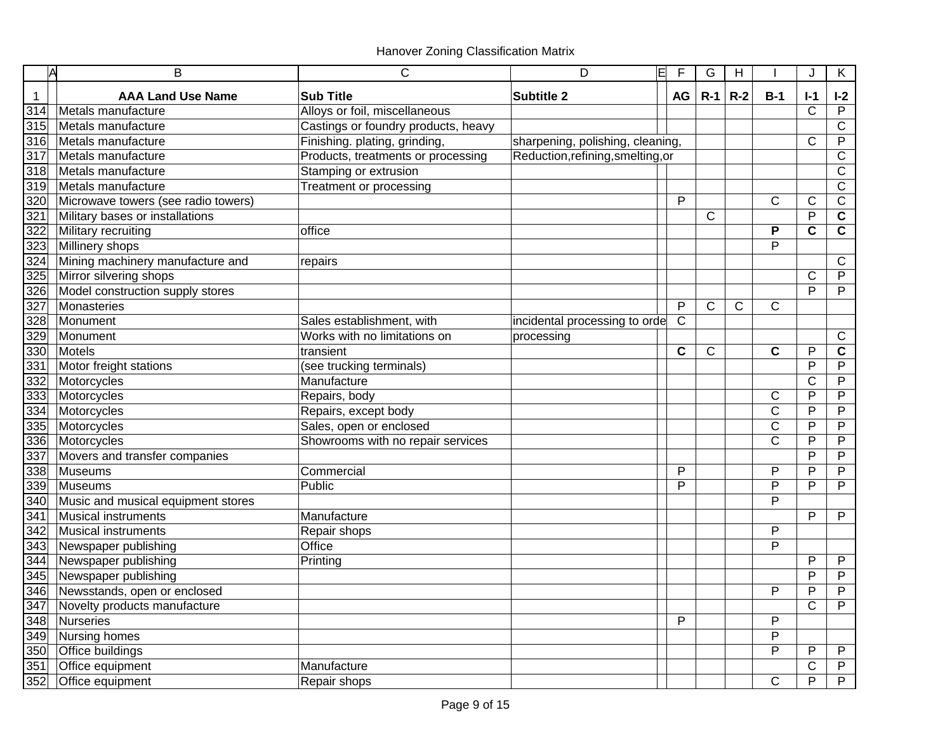| Α                | B                                   | C                                   | D                                 | 旧 | F           | G     | H           |             | J              | Κ              |
|------------------|-------------------------------------|-------------------------------------|-----------------------------------|---|-------------|-------|-------------|-------------|----------------|----------------|
| 1                | <b>AAA Land Use Name</b>            | <b>Sub Title</b>                    | <b>Subtitle 2</b>                 |   | AG          | $R-1$ | $R-2$       | $B-1$       | $I-1$          | $I-2$          |
| 314              | Metals manufacture                  | Alloys or foil, miscellaneous       |                                   |   |             |       |             |             | $\mathsf C$    | P              |
| $\overline{315}$ | Metals manufacture                  | Castings or foundry products, heavy |                                   |   |             |       |             |             |                | C              |
| 316              | Metals manufacture                  | Finishing. plating, grinding,       | sharpening, polishing, cleaning,  |   |             |       |             |             | C              | $\mathsf{P}$   |
| $\overline{317}$ | Metals manufacture                  | Products, treatments or processing  | Reduction, refining, smelting, or |   |             |       |             |             |                | C              |
| 318              | Metals manufacture                  | Stamping or extrusion               |                                   |   |             |       |             |             |                | C              |
| $\overline{319}$ | Metals manufacture                  | Treatment or processing             |                                   |   |             |       |             |             |                | C              |
| 320              | Microwave towers (see radio towers) |                                     |                                   |   | P           |       |             | C           | C              | C              |
| 321              | Military bases or installations     |                                     |                                   |   |             | C     |             |             | P              | $\mathbf c$    |
| 322              | Military recruiting                 | office                              |                                   |   |             |       |             | P           | $\mathbf{C}$   | $\mathbf C$    |
| 323              | Millinery shops                     |                                     |                                   |   |             |       |             | P           |                |                |
| 324              | Mining machinery manufacture and    | repairs                             |                                   |   |             |       |             |             |                | C              |
| $\overline{325}$ | Mirror silvering shops              |                                     |                                   |   |             |       |             |             | C              | $\mathsf{P}$   |
| 326              | Model construction supply stores    |                                     |                                   |   |             |       |             |             | P              | P              |
| 327              | Monasteries                         |                                     |                                   |   | P           | C     | $\mathsf C$ | $\mathsf C$ |                |                |
| 328              | Monument                            | Sales establishment, with           | incidental processing to orde     |   | $\mathsf C$ |       |             |             |                |                |
| $\overline{329}$ | Monument                            | Works with no limitations on        | processing                        |   |             |       |             |             |                | С              |
| 330              | Motels                              | transient                           |                                   |   | C           | C     |             | C           | P              | C              |
| 331              | Motor freight stations              | (see trucking terminals)            |                                   |   |             |       |             |             | P              | P              |
| 332              | Motorcycles                         | Manufacture                         |                                   |   |             |       |             |             | C              | P              |
| 333              | Motorcycles                         | Repairs, body                       |                                   |   |             |       |             | С           | $\overline{P}$ | $\overline{P}$ |
| 334              | Motorcycles                         | Repairs, except body                |                                   |   |             |       |             | C           | P              | P              |
| 335              | Motorcycles                         | Sales, open or enclosed             |                                   |   |             |       |             | C           | P              | P              |
| 336              | Motorcycles                         | Showrooms with no repair services   |                                   |   |             |       |             | Ċ           | P              | P              |
| 337              | Movers and transfer companies       |                                     |                                   |   |             |       |             |             | $\overline{P}$ | $\overline{P}$ |
| 338              | Museums                             | Commercial                          |                                   |   | P           |       |             | P           | P              | P              |
| 339              | Museums                             | Public                              |                                   |   | P           |       |             | P           | P              | $\mathsf{P}$   |
| 340              | Music and musical equipment stores  |                                     |                                   |   |             |       |             | P           |                |                |
| 341              | <b>Musical instruments</b>          | Manufacture                         |                                   |   |             |       |             |             | P              | P              |
| 342              | <b>Musical instruments</b>          | Repair shops                        |                                   |   |             |       |             | P           |                |                |
| 343              | Newspaper publishing                | Office                              |                                   |   |             |       |             | P           |                |                |
| 344              | Newspaper publishing                | Printing                            |                                   |   |             |       |             |             | P              | P              |
| 345              | Newspaper publishing                |                                     |                                   |   |             |       |             |             | P              | P              |
| 346              | Newsstands, open or enclosed        |                                     |                                   |   |             |       |             | P           | P              | P              |
| 347              | Novelty products manufacture        |                                     |                                   |   |             |       |             |             | C              | P              |
| 348              | Nurseries                           |                                     |                                   |   | P           |       |             | P           |                |                |
| 349              | Nursing homes                       |                                     |                                   |   |             |       |             | P           |                |                |
| 350              | Office buildings                    |                                     |                                   |   |             |       |             | P           | P              | P              |
| 351              | Office equipment                    | Manufacture                         |                                   |   |             |       |             |             | С              | P              |
| 352              | Office equipment                    | Repair shops                        |                                   |   |             |       |             | C           | P              | P              |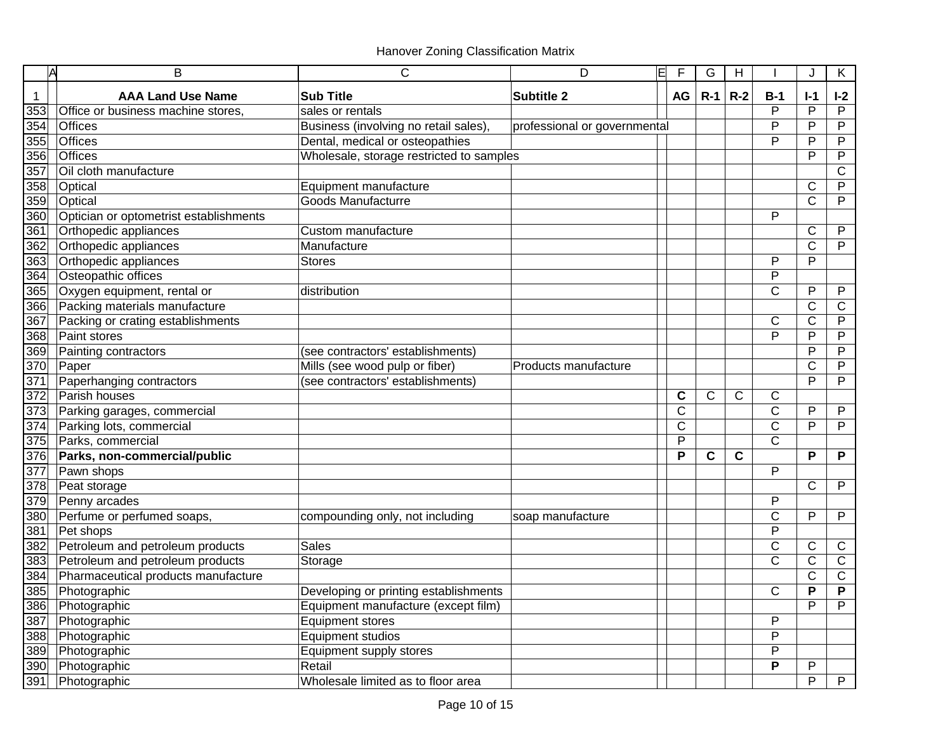| Α                | B                                      | C                                        | E<br>D                       | F  | G              | Н            |                | J            | Κ            |
|------------------|----------------------------------------|------------------------------------------|------------------------------|----|----------------|--------------|----------------|--------------|--------------|
| 1                | <b>AAA Land Use Name</b>               | <b>Sub Title</b>                         | Subtitle 2                   | AG | $R-1$          | $R-2$        | $B-1$          | $I-1$        | $I-2$        |
| 353              | Office or business machine stores,     | sales or rentals                         |                              |    |                |              | P              | P            | P            |
| 354              | <b>Offices</b>                         | Business (involving no retail sales),    | professional or governmental |    |                |              | P              | P            | P            |
| 355              | <b>Offices</b>                         | Dental, medical or osteopathies          |                              |    |                |              | P              | P            | P            |
| 356              | <b>Offices</b>                         | Wholesale, storage restricted to samples |                              |    |                |              |                | P            | P            |
| 357              | Oil cloth manufacture                  |                                          |                              |    |                |              |                |              | C            |
| 358              | Optical                                | Equipment manufacture                    |                              |    |                |              |                | C            | P            |
| 359              | Optical                                | Goods Manufacturre                       |                              |    |                |              |                | $\mathsf{C}$ | P            |
| 360              | Optician or optometrist establishments |                                          |                              |    |                |              | P              |              |              |
| 361              | Orthopedic appliances                  | Custom manufacture                       |                              |    |                |              |                | C            | P            |
| 362              | Orthopedic appliances                  | Manufacture                              |                              |    |                |              |                | $\mathsf{C}$ | P            |
| 363              | Orthopedic appliances                  | <b>Stores</b>                            |                              |    |                |              | P              | P            |              |
| 364              | Osteopathic offices                    |                                          |                              |    |                |              | P              |              |              |
| 365              | Oxygen equipment, rental or            | distribution                             |                              |    |                |              | $\overline{C}$ | P            | P            |
| 366              | Packing materials manufacture          |                                          |                              |    |                |              |                | $\mathsf{C}$ | $\mathsf C$  |
| 367              | Packing or crating establishments      |                                          |                              |    |                |              | $\mathsf{C}$   | $\mathsf{C}$ | P            |
| 368              | Paint stores                           |                                          |                              |    |                |              | P              | P            | P            |
| 369              | Painting contractors                   | (see contractors' establishments)        |                              |    |                |              |                | P            | P            |
| 370              | Paper                                  | Mills (see wood pulp or fiber)           | Products manufacture         |    |                |              |                | C            | P            |
| 371              | Paperhanging contractors               | (see contractors' establishments)        |                              |    |                |              |                | P            | P            |
| $\overline{372}$ | Parish houses                          |                                          |                              | C  | $\overline{C}$ | $\mathsf{C}$ | $\mathsf{C}$   |              |              |
| 373              | Parking garages, commercial            |                                          |                              | C  |                |              | $\mathsf C$    | P            | P            |
| 374              | Parking lots, commercial               |                                          |                              | C  |                |              | $\mathsf{C}$   | P            | P            |
| $\overline{375}$ | Parks, commercial                      |                                          |                              | P  |                |              | $\mathsf{C}$   |              |              |
| 376              | Parks, non-commercial/public           |                                          |                              | P  | C              | C            |                | P            | P            |
| 377              | Pawn shops                             |                                          |                              |    |                |              | P              |              |              |
| 378              | Peat storage                           |                                          |                              |    |                |              |                | $\mathsf{C}$ | P            |
| 379              | Penny arcades                          |                                          |                              |    |                |              | P              |              |              |
| 380              | Perfume or perfumed soaps,             | compounding only, not including          | soap manufacture             |    |                |              | $\mathsf{C}$   | P            | P            |
| 381              | Pet shops                              |                                          |                              |    |                |              | P              |              |              |
| 382              | Petroleum and petroleum products       | <b>Sales</b>                             |                              |    |                |              | $\mathsf{C}$   | C            | C            |
| 383              | Petroleum and petroleum products       | Storage                                  |                              |    |                |              | C              | C            | C            |
| 384              | Pharmaceutical products manufacture    |                                          |                              |    |                |              |                | $\mathsf{C}$ | $\mathsf{C}$ |
| 385              | Photographic                           | Developing or printing establishments    |                              |    |                |              | C              | P            | P            |
| 386              | Photographic                           | Equipment manufacture (except film)      |                              |    |                |              |                | P            | P            |
| 387              | Photographic                           | <b>Equipment stores</b>                  |                              |    |                |              | P              |              |              |
| 388              | Photographic                           | <b>Equipment studios</b>                 |                              |    |                |              | P              |              |              |
| 389              | Photographic                           | Equipment supply stores                  |                              |    |                |              | P              |              |              |
| 390              | Photographic                           | Retail                                   |                              |    |                |              | P              | P            |              |
| 391              | Photographic                           | Wholesale limited as to floor area       |                              |    |                |              |                | P            | P            |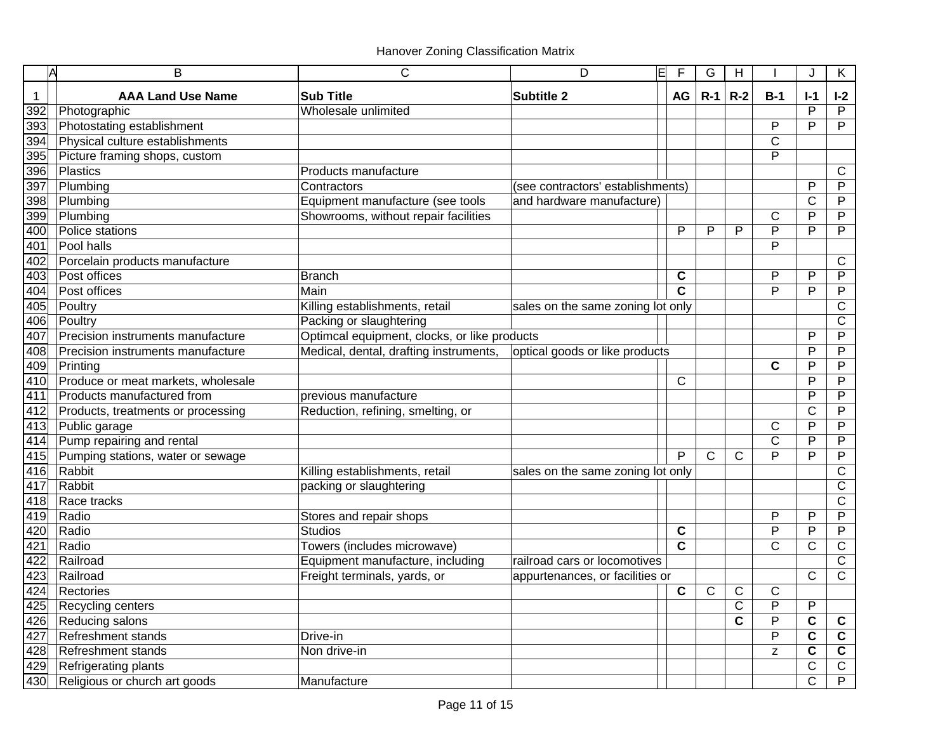## Hanover Zoning Classification Matrix

| A                | B                                  | $\mathsf C$                                  | E<br>D<br>$\mathsf F$             | G            | H            |                | J            | K              |
|------------------|------------------------------------|----------------------------------------------|-----------------------------------|--------------|--------------|----------------|--------------|----------------|
| $\mathbf 1$      | <b>AAA Land Use Name</b>           | <b>Sub Title</b>                             | <b>Subtitle 2</b><br>AG           | $R-1$ $R-2$  |              | $B-1$          | $I-1$        | $I-2$          |
| 392              | Photographic                       | Wholesale unlimited                          |                                   |              |              |                | P            | P              |
| 393              | Photostating establishment         |                                              |                                   |              |              | P              | P            | P              |
| 394              | Physical culture establishments    |                                              |                                   |              |              | C              |              |                |
| 395              | Picture framing shops, custom      |                                              |                                   |              |              | P              |              |                |
| 396              | Plastics                           | Products manufacture                         |                                   |              |              |                |              | C              |
| 397              | Plumbing                           | Contractors                                  | (see contractors' establishments) |              |              |                | P            | $\mathsf{P}$   |
| 398              | Plumbing                           | Equipment manufacture (see tools             | and hardware manufacture)         |              |              |                | C            | $\mathsf{P}$   |
| 399              | Plumbing                           | Showrooms, without repair facilities         |                                   |              |              | С              | P            | $\mathsf{P}$   |
| 400              | Police stations                    |                                              | P                                 | P            | P            | P              | P            | P              |
| 401              | Pool halls                         |                                              |                                   |              |              | P              |              |                |
| 402              | Porcelain products manufacture     |                                              |                                   |              |              |                |              | C              |
| 403              | Post offices                       | <b>Branch</b>                                | C                                 |              |              | P              | P            | P              |
| 404              | Post offices                       | Main                                         | C                                 |              |              | $\overline{P}$ | P            | $\mathsf{P}$   |
| 405              | Poultry                            | Killing establishments, retail               | sales on the same zoning lot only |              |              |                |              | C              |
| 406              | Poultry                            | Packing or slaughtering                      |                                   |              |              |                |              | $\mathsf{C}$   |
| 407              | Precision instruments manufacture  | Optimcal equipment, clocks, or like products |                                   |              |              |                | P            | P              |
| 408              | Precision instruments manufacture  | Medical, dental, drafting instruments,       | optical goods or like products    |              |              |                | P            | P              |
| 409              | Printing                           |                                              |                                   |              |              | C              | P            | P              |
| 410              | Produce or meat markets, wholesale |                                              | C                                 |              |              |                | P            | P              |
| 411              | Products manufactured from         | previous manufacture                         |                                   |              |              |                | P            | P              |
| 412              | Products, treatments or processing | Reduction, refining, smelting, or            |                                   |              |              |                | $\mathsf{C}$ | P              |
| 413              | Public garage                      |                                              |                                   |              |              | С              | P            | P              |
| 414              | Pump repairing and rental          |                                              |                                   |              |              | C              | P            | $\mathsf{P}$   |
| 415              | Pumping stations, water or sewage  |                                              | P                                 | C            | $\mathsf{C}$ | P              | P            | P              |
| 416              | Rabbit                             | Killing establishments, retail               | sales on the same zoning lot only |              |              |                |              | $\mathsf{C}$   |
| 417              | Rabbit                             | packing or slaughtering                      |                                   |              |              |                |              | $\mathsf{C}$   |
| 418              | Race tracks                        |                                              |                                   |              |              |                |              | $\mathsf{C}$   |
| $\overline{419}$ | Radio                              | Stores and repair shops                      |                                   |              |              | P              | P            | P              |
| 420              | Radio                              | <b>Studios</b>                               | C                                 |              |              | P              | P            | P              |
| 421              | Radio                              | Towers (includes microwave)                  | C                                 |              |              | $\mathsf{C}$   | C            | $\mathsf{C}$   |
| 422              | Railroad                           | Equipment manufacture, including             | railroad cars or locomotives      |              |              |                |              | C              |
| 423              | Railroad                           | Freight terminals, yards, or                 | appurtenances, or facilities or   |              |              |                | C            | C              |
| 424              | Rectories                          |                                              | $\mathbf c$                       | $\mathsf{C}$ | $\mathsf{C}$ | C              |              |                |
| 425              | Recycling centers                  |                                              |                                   |              | $\mathsf C$  | P              | P            |                |
| 426              | Reducing salons                    |                                              |                                   |              | $\mathbf c$  | P              | $\mathbf c$  | $\mathbf c$    |
| 427              | Refreshment stands                 | Drive-in                                     |                                   |              |              | P              | C            | $\mathbf c$    |
| 428              | <b>Refreshment stands</b>          | Non drive-in                                 |                                   |              |              | z              | C            | $\mathbf c$    |
| 429              | Refrigerating plants               |                                              |                                   |              |              |                | C            | $\mathsf C$    |
| 430              | Religious or church art goods      | Manufacture                                  |                                   |              |              |                | Ċ            | $\overline{P}$ |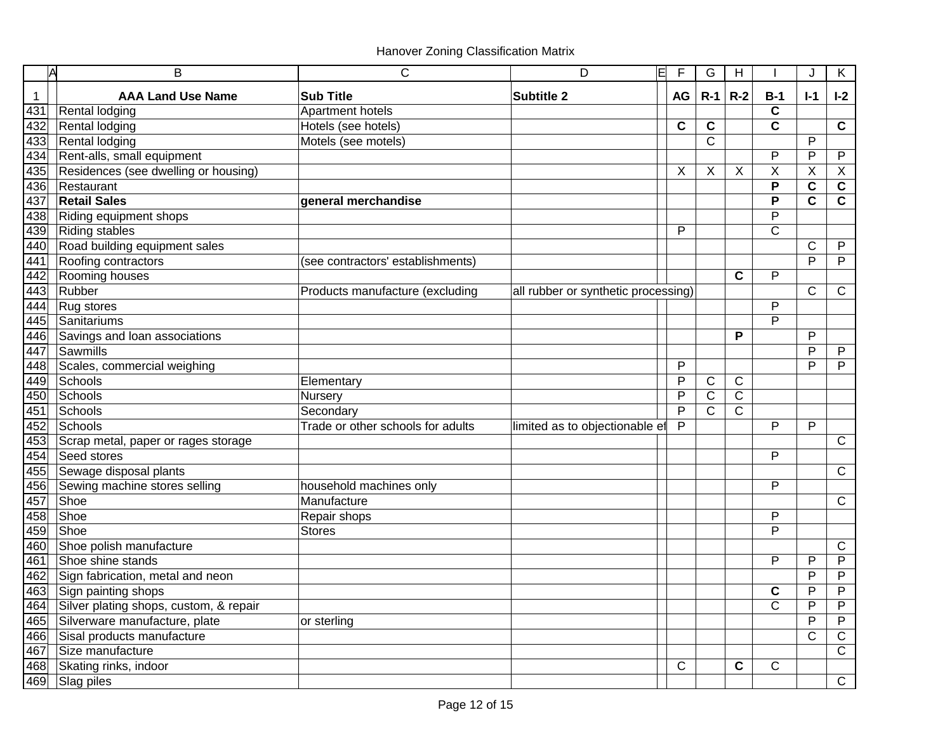| Α                | B                                      | С                                 | E<br>D                              | F  | G              | $\overline{H}$            |              | J           | K                         |
|------------------|----------------------------------------|-----------------------------------|-------------------------------------|----|----------------|---------------------------|--------------|-------------|---------------------------|
| 1                | <b>AAA Land Use Name</b>               | <b>Sub Title</b>                  | <b>Subtitle 2</b>                   | AG | $R-1$ $R-2$    |                           | $B-1$        | $I-1$       | $I-2$                     |
| 431              | <b>Rental lodging</b>                  | Apartment hotels                  |                                     |    |                |                           | $\mathbf c$  |             |                           |
| 432              | <b>Rental lodging</b>                  | Hotels (see hotels)               |                                     | C  | C              |                           | C            |             | $\mathbf c$               |
| 433              | Rental lodging                         | Motels (see motels)               |                                     |    | C              |                           |              | P           |                           |
| 434              | Rent-alls, small equipment             |                                   |                                     |    |                |                           | P            | P           | $\mathsf{P}$              |
| 435              | Residences (see dwelling or housing)   |                                   |                                     | X  | $\times$       | $\boldsymbol{\mathsf{X}}$ | $\times$     | X           | $\boldsymbol{\mathsf{X}}$ |
| 436              | Restaurant                             |                                   |                                     |    |                |                           | P            | $\mathbf c$ | $\mathbf c$               |
| 437              | <b>Retail Sales</b>                    | general merchandise               |                                     |    |                |                           | P            | $\mathbf c$ | $\mathbf c$               |
| 438              | Riding equipment shops                 |                                   |                                     |    |                |                           | P            |             |                           |
| 439              | <b>Riding stables</b>                  |                                   |                                     | P  |                |                           | $\mathsf C$  |             |                           |
| $\overline{440}$ | Road building equipment sales          |                                   |                                     |    |                |                           |              | С           | P                         |
| 441              | Roofing contractors                    | (see contractors' establishments) |                                     |    |                |                           |              | P           | P                         |
| 442              | Rooming houses                         |                                   |                                     |    |                | $\mathbf c$               | P            |             |                           |
| 443              | Rubber                                 | Products manufacture (excluding   | all rubber or synthetic processing) |    |                |                           |              | C           | $\mathsf{C}$              |
| 444              | Rug stores                             |                                   |                                     |    |                |                           | P            |             |                           |
| $\overline{445}$ | Sanitariums                            |                                   |                                     |    |                |                           | P            |             |                           |
| $\overline{446}$ | Savings and loan associations          |                                   |                                     |    |                | P                         |              | P           |                           |
| 447              | Sawmills                               |                                   |                                     |    |                |                           |              | P           | P                         |
| 448              | Scales, commercial weighing            |                                   |                                     | P  |                |                           |              | P           | P                         |
| 449              | Schools                                | Elementary                        |                                     | P  | $\mathsf C$    | C                         |              |             |                           |
| $\overline{450}$ | Schools                                | Nursery                           |                                     | P  | $\overline{C}$ | $\overline{C}$            |              |             |                           |
| 451              | Schools                                | Secondary                         |                                     | P  | $\mathsf{C}$   | $\mathsf{C}$              |              |             |                           |
| 452              | Schools                                | Trade or other schools for adults | limited as to objectionable ef      | P  |                |                           | P            | P           |                           |
| 453              | Scrap metal, paper or rages storage    |                                   |                                     |    |                |                           |              |             | $\mathbf C$               |
| 454              | Seed stores                            |                                   |                                     |    |                |                           | P            |             |                           |
| 455              | Sewage disposal plants                 |                                   |                                     |    |                |                           |              |             | $\mathsf{C}$              |
| 456              | Sewing machine stores selling          | household machines only           |                                     |    |                |                           | P            |             |                           |
| 457              | Shoe                                   | Manufacture                       |                                     |    |                |                           |              |             | $\mathsf{C}$              |
| 458              | Shoe                                   | Repair shops                      |                                     |    |                |                           | P            |             |                           |
| 459              | Shoe                                   | <b>Stores</b>                     |                                     |    |                |                           | P            |             |                           |
| 460              | Shoe polish manufacture                |                                   |                                     |    |                |                           |              |             | C                         |
| 461              | Shoe shine stands                      |                                   |                                     |    |                |                           | P            | P           | P                         |
| 462              | Sign fabrication, metal and neon       |                                   |                                     |    |                |                           |              | P           | P                         |
| 463              | Sign painting shops                    |                                   |                                     |    |                |                           | C            | P           | P                         |
| 464              | Silver plating shops, custom, & repair |                                   |                                     |    |                |                           | $\mathsf{C}$ | P           | P                         |
| 465              | Silverware manufacture, plate          | or sterling                       |                                     |    |                |                           |              | P           | P                         |
| 466              | Sisal products manufacture             |                                   |                                     |    |                |                           |              | C           | C                         |
| 467              | Size manufacture                       |                                   |                                     |    |                |                           |              |             | $\mathsf{C}$              |
| 468              | Skating rinks, indoor                  |                                   |                                     | C  |                | C                         | C            |             |                           |
| 469              | Slag piles                             |                                   |                                     |    |                |                           |              |             | $\mathsf{C}$              |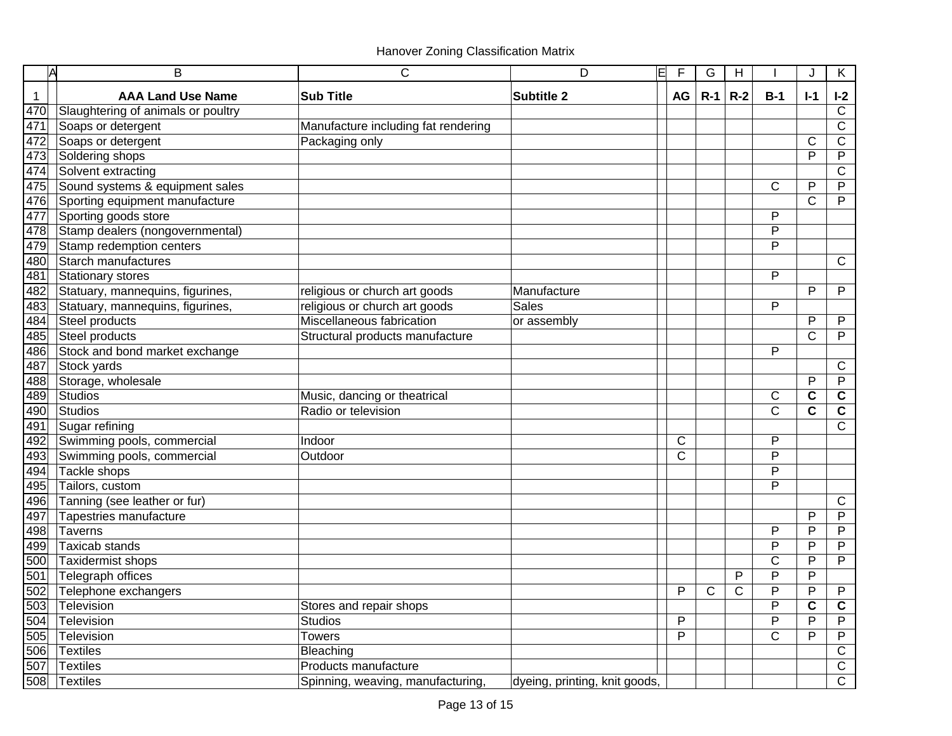| A                | B                                  | C                                   | 旧<br>D                        | F  | G     | H     |                | J                       | K              |
|------------------|------------------------------------|-------------------------------------|-------------------------------|----|-------|-------|----------------|-------------------------|----------------|
| $\mathbf 1$      | <b>AAA Land Use Name</b>           | <b>Sub Title</b>                    | Subtitle 2                    | AG | $R-1$ | $R-2$ | $B-1$          | $I-1$                   | $I-2$          |
| 470              | Slaughtering of animals or poultry |                                     |                               |    |       |       |                |                         | C              |
| 471              | Soaps or detergent                 | Manufacture including fat rendering |                               |    |       |       |                |                         | $\mathsf{C}$   |
| 472              | Soaps or detergent                 | Packaging only                      |                               |    |       |       |                | C                       | C              |
| $\overline{473}$ | Soldering shops                    |                                     |                               |    |       |       |                | P                       | P              |
| 474              | Solvent extracting                 |                                     |                               |    |       |       |                |                         | C              |
| 475              | Sound systems & equipment sales    |                                     |                               |    |       |       | C              | P                       | P              |
| 476              | Sporting equipment manufacture     |                                     |                               |    |       |       |                | $\overline{C}$          | P              |
| 477              | Sporting goods store               |                                     |                               |    |       |       | P              |                         |                |
| 478              | Stamp dealers (nongovernmental)    |                                     |                               |    |       |       | P              |                         |                |
| 479              | Stamp redemption centers           |                                     |                               |    |       |       | P              |                         |                |
| 480              | Starch manufactures                |                                     |                               |    |       |       |                |                         | $\overline{C}$ |
| 481              | Stationary stores                  |                                     |                               |    |       |       | P              |                         |                |
| 482              | Statuary, mannequins, figurines,   | religious or church art goods       | Manufacture                   |    |       |       |                | P                       | P              |
| 483              | Statuary, mannequins, figurines,   | religious or church art goods       | <b>Sales</b>                  |    |       |       | P              |                         |                |
| 484              | Steel products                     | Miscellaneous fabrication           | or assembly                   |    |       |       |                | P                       | P              |
| 485              | Steel products                     | Structural products manufacture     |                               |    |       |       |                | $\overline{C}$          | P              |
| 486              | Stock and bond market exchange     |                                     |                               |    |       |       | $\mathsf{P}$   |                         |                |
| 487              | Stock yards                        |                                     |                               |    |       |       |                |                         | C              |
| 488              | Storage, wholesale                 |                                     |                               |    |       |       |                | P                       | P              |
| 489              | Studios                            | Music, dancing or theatrical        |                               |    |       |       | C              | $\overline{\mathbf{c}}$ | $\mathbf c$    |
| 490              | Studios                            | Radio or television                 |                               |    |       |       | C              | C                       | $\mathbf c$    |
| 491              | Sugar refining                     |                                     |                               |    |       |       |                |                         | C              |
| 492              | Swimming pools, commercial         | Indoor                              |                               | C  |       |       | P              |                         |                |
| 493              | Swimming pools, commercial         | Outdoor                             |                               | C  |       |       | P              |                         |                |
| 494              | <b>Tackle shops</b>                |                                     |                               |    |       |       | $\overline{P}$ |                         |                |
| 495              | Tailors, custom                    |                                     |                               |    |       |       | P              |                         |                |
| 496              | Tanning (see leather or fur)       |                                     |                               |    |       |       |                |                         | C              |
| 497              | Tapestries manufacture             |                                     |                               |    |       |       |                | P                       | P              |
| 498              | Taverns                            |                                     |                               |    |       |       | P              | P                       | P              |
| 499              | <b>Taxicab stands</b>              |                                     |                               |    |       |       | P              | P                       | P              |
| 500              | Taxidermist shops                  |                                     |                               |    |       |       | $\mathsf{C}$   | P                       | P              |
| 501              | Telegraph offices                  |                                     |                               |    |       | P     | P              | P                       |                |
| 502              | Telephone exchangers               |                                     |                               | P  | C     | C     | P              | P                       | P              |
| 503              | Television                         | Stores and repair shops             |                               |    |       |       | P              | $\mathbf c$             | $\mathbf c$    |
| 504              | Television                         | <b>Studios</b>                      |                               | P  |       |       | P              | P                       | P              |
| 505              | Television                         | <b>Towers</b>                       |                               | P  |       |       | C              | P                       | P              |
| 506              | Textiles                           | Bleaching                           |                               |    |       |       |                |                         | C              |
| $\overline{50}$  | Textiles                           | Products manufacture                |                               |    |       |       |                |                         | С              |
| 508              | Textiles                           | Spinning, weaving, manufacturing    | dyeing, printing, knit goods, |    |       |       |                |                         | $\mathsf{C}$   |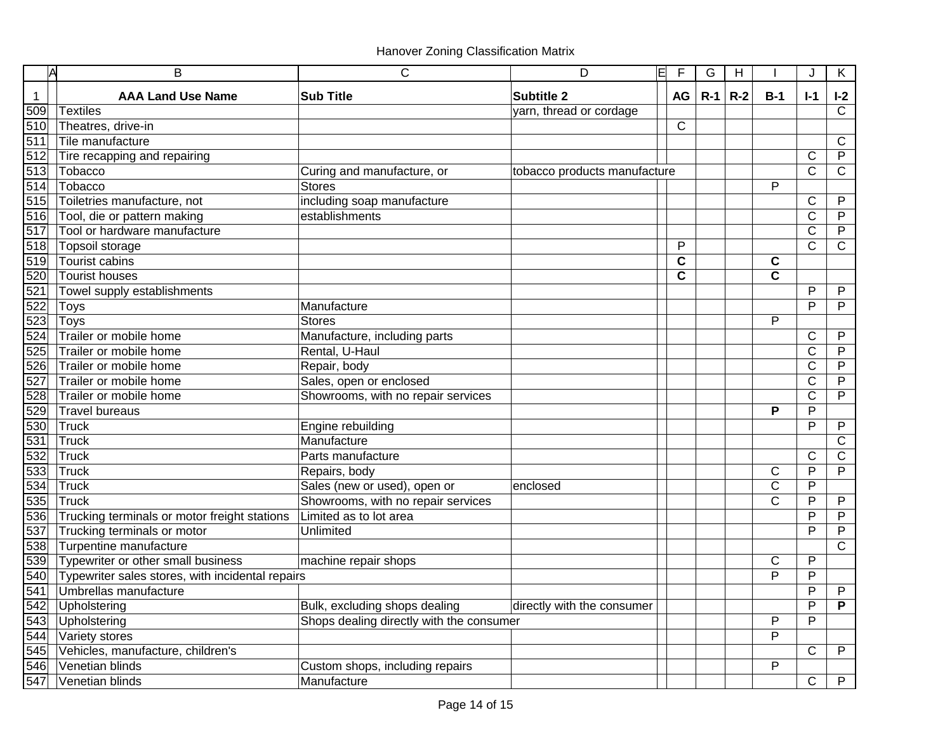|     | A<br>B                                           | $\mathsf{C}$                             | D                            | 旧 | $\mathsf{F}$ | G     | H     |       | J                     | Κ                       |
|-----|--------------------------------------------------|------------------------------------------|------------------------------|---|--------------|-------|-------|-------|-----------------------|-------------------------|
| 1   | <b>AAA Land Use Name</b>                         | <b>Sub Title</b>                         | <b>Subtitle 2</b>            |   | AG           | $R-1$ | $R-2$ | $B-1$ | $I-1$                 | $I-2$                   |
| 509 | <b>Textiles</b>                                  |                                          | yarn, thread or cordage      |   |              |       |       |       |                       | $\mathsf{C}$            |
| 510 | Theatres, drive-in                               |                                          |                              |   | C            |       |       |       |                       |                         |
| 511 | Tile manufacture                                 |                                          |                              |   |              |       |       |       |                       | C                       |
| 512 | Tire recapping and repairing                     |                                          |                              |   |              |       |       |       | C                     | $\mathsf{P}$            |
| 513 | Tobacco                                          | Curing and manufacture, or               | tobacco products manufacture |   |              |       |       |       | C                     | C                       |
| 514 | Tobacco                                          | <b>Stores</b>                            |                              |   |              |       |       | P     |                       |                         |
| 515 | Toiletries manufacture, not                      | including soap manufacture               |                              |   |              |       |       |       | C                     | P                       |
| 516 | Tool, die or pattern making                      | establishments                           |                              |   |              |       |       |       | C                     | P                       |
| 517 | Tool or hardware manufacture                     |                                          |                              |   |              |       |       |       | $\mathsf{C}$          | P                       |
| 518 | Topsoil storage                                  |                                          |                              |   | $\mathsf{P}$ |       |       |       | C                     | C                       |
| 519 | Tourist cabins                                   |                                          |                              |   | $\mathbf c$  |       |       | C     |                       |                         |
| 520 | <b>Tourist houses</b>                            |                                          |                              |   | $\mathbf c$  |       |       | C     |                       |                         |
| 521 | Towel supply establishments                      |                                          |                              |   |              |       |       |       | P                     | $\mathsf{P}$            |
| 522 | <b>Toys</b>                                      | Manufacture                              |                              |   |              |       |       |       | P                     | P                       |
| 523 | Toys                                             | <b>Stores</b>                            |                              |   |              |       |       | P     |                       |                         |
| 524 | Trailer or mobile home                           | Manufacture, including parts             |                              |   |              |       |       |       | C                     | P                       |
| 525 | Trailer or mobile home                           | Rental, U-Haul                           |                              |   |              |       |       |       | C                     | P                       |
| 526 | Trailer or mobile home                           | Repair, body                             |                              |   |              |       |       |       | C                     | P                       |
| 527 | Trailer or mobile home                           | Sales, open or enclosed                  |                              |   |              |       |       |       | C                     | P                       |
| 528 | Trailer or mobile home                           | Showrooms, with no repair services       |                              |   |              |       |       |       | $\overline{\text{c}}$ | $\overline{\mathsf{P}}$ |
| 529 | <b>Travel bureaus</b>                            |                                          |                              |   |              |       |       | P     | P                     |                         |
| 530 | <b>Truck</b>                                     | Engine rebuilding                        |                              |   |              |       |       |       | P                     | $\mathsf{P}$            |
| 531 | <b>Truck</b>                                     | Manufacture                              |                              |   |              |       |       |       |                       | C                       |
| 532 | <b>Truck</b>                                     | Parts manufacture                        |                              |   |              |       |       |       | $\mathsf{C}$          | C                       |
| 533 | <b>Truck</b>                                     | Repairs, body                            |                              |   |              |       |       | C     | P                     | P                       |
| 534 | <b>Truck</b>                                     | Sales (new or used), open or             | enclosed                     |   |              |       |       | C     | P                     |                         |
| 535 | <b>Truck</b>                                     | Showrooms, with no repair services       |                              |   |              |       |       | С     | P                     | P                       |
| 536 | Trucking terminals or motor freight stations     | Limited as to lot area                   |                              |   |              |       |       |       | P                     | P                       |
| 537 | Trucking terminals or motor                      | Unlimited                                |                              |   |              |       |       |       | P                     | P                       |
| 538 | Turpentine manufacture                           |                                          |                              |   |              |       |       |       |                       | C                       |
| 539 | Typewriter or other small business               | machine repair shops                     |                              |   |              |       |       | C     | P                     |                         |
| 540 | Typewriter sales stores, with incidental repairs |                                          |                              |   |              |       |       | P     | P                     |                         |
| 541 | Umbrellas manufacture                            |                                          |                              |   |              |       |       |       | P                     | P                       |
| 542 | Upholstering                                     | Bulk, excluding shops dealing            | directly with the consumer   |   |              |       |       |       | P                     | P                       |
| 543 | Upholstering                                     | Shops dealing directly with the consumer |                              |   |              |       |       | P     | P                     |                         |
| 544 | Variety stores                                   |                                          |                              |   |              |       |       | P     |                       |                         |
| 545 | Vehicles, manufacture, children's                |                                          |                              |   |              |       |       |       | $\mathsf{C}$          | $\mathsf{P}$            |
| 546 | Venetian blinds                                  | Custom shops, including repairs          |                              |   |              |       |       | P     |                       |                         |
| 547 | Venetian blinds                                  | Manufacture                              |                              |   |              |       |       |       | C                     | P                       |